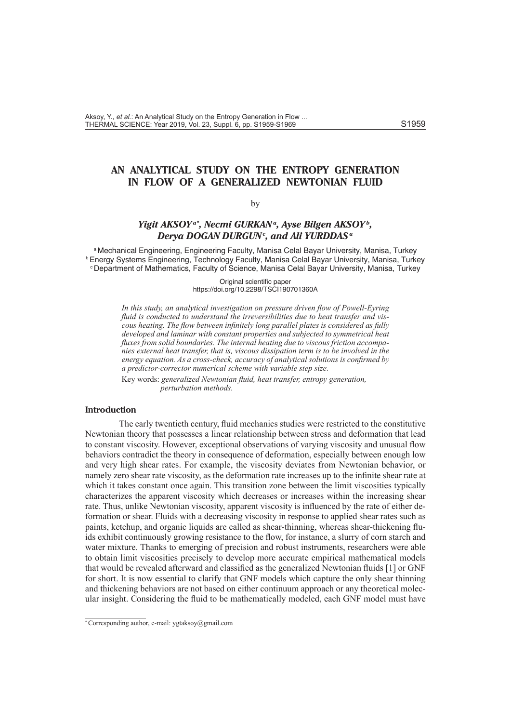# **AN ANALYTICAL STUDY ON THE ENTROPY GENERATION IN FLOW OF A GENERALIZED NEWTONIAN FLUID**

## by

## *Yigit AKSOYa\* , Necmi GURKANa, Ayse Bilgen AKSOYb, Derya DOGAN DURGUNc , and Ali YURDDASa*

a Mechanical Engineering, Engineering Faculty, Manisa Celal Bayar University, Manisa, Turkey b Energy Systems Engineering, Technology Faculty, Manisa Celal Bayar University, Manisa, Turkey c Department of Mathematics, Faculty of Science, Manisa Celal Bayar University, Manisa, Turkey

> Original scientific paper https://doi.org/10.2298/TSCI190701360A

*In this study, an analytical investigation on pressure driven flow of Powell-Eyring fluid is conducted to understand the irreversibilities due to heat transfer and viscous heating. The flow between infinitely long parallel plates is considered as fully developed and laminar with constant properties and subjected to symmetrical heat fluxes from solid boundaries. The internal heating due to viscous friction accompanies external heat transfer, that is, viscous dissipation term is to be involved in the energy equation. As a cross-check, accuracy of analytical solutions is confirmed by a predictor-corrector numerical scheme with variable step size.* 

Key words: *generalized Newtonian fluid, heat transfer, entropy generation, perturbation methods.* 

## **Introduction**

The early twentieth century, fluid mechanics studies were restricted to the constitutive Newtonian theory that possesses a linear relationship between stress and deformation that lead to constant viscosity. However, exceptional observations of varying viscosity and unusual flow behaviors contradict the theory in consequence of deformation, especially between enough low and very high shear rates. For example, the viscosity deviates from Newtonian behavior, or namely zero shear rate viscosity, as the deformation rate increases up to the infinite shear rate at which it takes constant once again. This transition zone between the limit viscosities typically characterizes the apparent viscosity which decreases or increases within the increasing shear rate. Thus, unlike Newtonian viscosity, apparent viscosity is influenced by the rate of either deformation or shear. Fluids with a decreasing viscosity in response to applied shear rates such as paints, ketchup, and organic liquids are called as shear-thinning, whereas shear-thickening fluids exhibit continuously growing resistance to the flow, for instance, a slurry of corn starch and water mixture. Thanks to emerging of precision and robust instruments, researchers were able to obtain limit viscosities precisely to develop more accurate empirical mathematical models that would be revealed afterward and classified as the generalized Newtonian fluids [1] or GNF for short. It is now essential to clarify that GNF models which capture the only shear thinning and thickening behaviors are not based on either continuum approach or any theoretical molecular insight. Considering the fluid to be mathematically modeled, each GNF model must have

<sup>\*</sup> Corresponding author, e-mail: ygtaksoy@gmail.com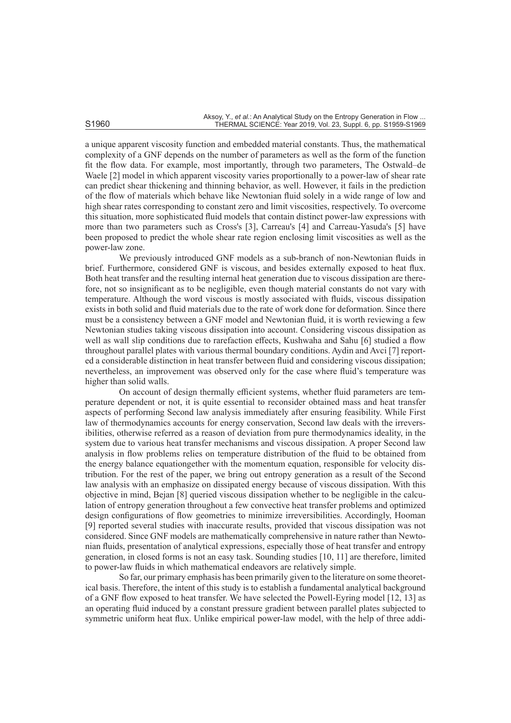a unique apparent viscosity function and embedded material constants. Thus, the mathematical complexity of a GNF depends on the number of parameters as well as the form of the function fit the flow data. For example, most importantly, through two parameters, The Ostwald–de Waele [2] model in which apparent viscosity varies proportionally to a power-law of shear rate can predict shear thickening and thinning behavior, as well. However, it fails in the prediction of the flow of materials which behave like Newtonian fluid solely in a wide range of low and high shear rates corresponding to constant zero and limit viscosities, respectively. To overcome this situation, more sophisticated fluid models that contain distinct power-law expressions with more than two parameters such as Cross's [3], Carreau's [4] and Carreau-Yasuda's [5] have been proposed to predict the whole shear rate region enclosing limit viscosities as well as the power-law zone.

We previously introduced GNF models as a sub-branch of non-Newtonian fluids in brief. Furthermore, considered GNF is viscous, and besides externally exposed to heat flux. Both heat transfer and the resulting internal heat generation due to viscous dissipation are therefore, not so insignificant as to be negligible, even though material constants do not vary with temperature. Although the word viscous is mostly associated with fluids, viscous dissipation exists in both solid and fluid materials due to the rate of work done for deformation. Since there must be a consistency between a GNF model and Newtonian fluid, it is worth reviewing a few Newtonian studies taking viscous dissipation into account. Considering viscous dissipation as well as wall slip conditions due to rarefaction effects, Kushwaha and Sahu [6] studied a flow throughout parallel plates with various thermal boundary conditions. Aydin and Avci [7] reported a considerable distinction in heat transfer between fluid and considering viscous dissipation; nevertheless, an improvement was observed only for the case where fluid's temperature was higher than solid walls.

On account of design thermally efficient systems, whether fluid parameters are temperature dependent or not, it is quite essential to reconsider obtained mass and heat transfer aspects of performing Second law analysis immediately after ensuring feasibility. While First law of thermodynamics accounts for energy conservation, Second law deals with the irreversibilities, otherwise referred as a reason of deviation from pure thermodynamics ideality, in the system due to various heat transfer mechanisms and viscous dissipation. A proper Second law analysis in flow problems relies on temperature distribution of the fluid to be obtained from the energy balance equationgether with the momentum equation, responsible for velocity distribution. For the rest of the paper, we bring out entropy generation as a result of the Second law analysis with an emphasize on dissipated energy because of viscous dissipation. With this objective in mind, Bejan [8] queried viscous dissipation whether to be negligible in the calculation of entropy generation throughout a few convective heat transfer problems and optimized design configurations of flow geometries to minimize irreversibilities. Accordingly, Hooman [9] reported several studies with inaccurate results, provided that viscous dissipation was not considered. Since GNF models are mathematically comprehensive in nature rather than Newtonian fluids, presentation of analytical expressions, especially those of heat transfer and entropy generation, in closed forms is not an easy task. Sounding studies [10, 11] are therefore, limited to power-law fluids in which mathematical endeavors are relatively simple.

So far, our primary emphasis has been primarily given to the literature on some theoretical basis. Therefore, the intent of this study is to establish a fundamental analytical background of a GNF flow exposed to heat transfer. We have selected the Powell-Eyring model [12, 13] as an operating fluid induced by a constant pressure gradient between parallel plates subjected to symmetric uniform heat flux. Unlike empirical power-law model, with the help of three addi-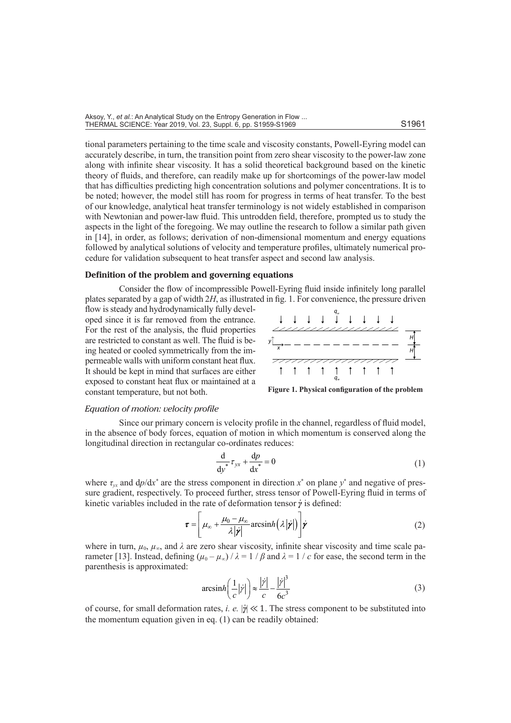tional parameters pertaining to the time scale and viscosity constants, Powell-Eyring model can accurately describe, in turn, the transition point from zero shear viscosity to the power-law zone along with infinite shear viscosity. It has a solid theoretical background based on the kinetic theory of fluids, and therefore, can readily make up for shortcomings of the power-law model that has difficulties predicting high concentration solutions and polymer concentrations. It is to be noted; however, the model still has room for progress in terms of heat transfer. To the best of our knowledge, analytical heat transfer terminology is not widely established in comparison with Newtonian and power-law fluid. This untrodden field, therefore, prompted us to study the aspects in the light of the foregoing. We may outline the research to follow a similar path given in [14], in order, as follows; derivation of non-dimensional momentum and energy equations followed by analytical solutions of velocity and temperature profiles, ultimately numerical procedure for validation subsequent to heat transfer aspect and second law analysis.

## **Definition of the problem and governing equations**

Consider the flow of incompressible Powell-Eyring fluid inside infinitely long parallel plates separated by a gap of width 2*H*, as illustrated in fig. 1. For convenience, the pressure driven

flow is steady and hydrodynamically fully developed since it is far removed from the entrance. For the rest of the analysis, the fluid properties are restricted to constant as well. The fluid is being heated or cooled symmetrically from the impermeable walls with uniform constant heat flux. It should be kept in mind that surfaces are either exposed to constant heat flux or maintained at a constant temperature, but not both.



**Figure 1. Physical configuration of the problem**

#### *Equation of motion: velocity profile*

Since our primary concern is velocity profile in the channel, regardless of fluid model, in the absence of body forces, equation of motion in which momentum is conserved along the longitudinal direction in rectangular co-ordinates reduces:

$$
\frac{\mathrm{d}}{\mathrm{d}y^*} \tau_{yx} + \frac{\mathrm{d}p}{\mathrm{d}x^*} = 0 \tag{1}
$$

where  $\tau_{yx}$  and  $dp/dx^*$  are the stress component in direction  $x^*$  on plane  $y^*$  and negative of pressure gradient, respectively. To proceed further, stress tensor of Powell-Eyring fluid in terms of kinetic variables included in the rate of deformation tensor *γ* is defined:

$$
\boldsymbol{\tau} = \left[ \mu_{\infty} + \frac{\mu_0 - \mu_{\infty}}{\lambda |\dot{\boldsymbol{\gamma}}|} \arcsinh\big(\lambda |\dot{\boldsymbol{\gamma}}|\big) \right] \dot{\boldsymbol{\gamma}} \tag{2}
$$

where in turn,  $\mu_0$ ,  $\mu_\infty$ , and  $\lambda$  are zero shear viscosity, infinite shear viscosity and time scale parameter [13]. Instead, defining  $(\mu_0 - \mu_\infty) / \lambda = 1 / \beta$  and  $\lambda = 1 / c$  for ease, the second term in the parenthesis is approximated:

$$
\operatorname{arcsinh}\left(\frac{1}{c}|\dot{\gamma}|\right) \approx \frac{|\dot{\gamma}|}{c} - \frac{|\dot{\gamma}|^3}{6c^3} \tag{3}
$$

of course, for small deformation rates, *i. e.* | $\dot{y}$ | ≪ 1. The stress component to be substituted into the momentum equation given in eq. (1) can be readily obtained: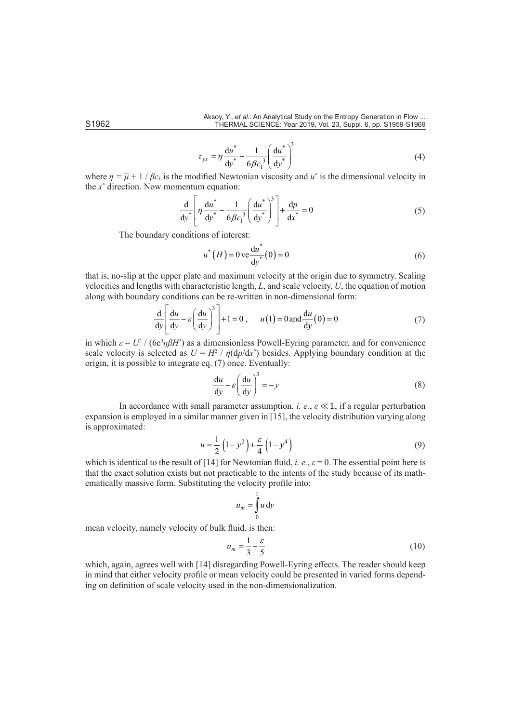$$
\tau_{yx} = \eta \frac{du^*}{dy^*} - \frac{1}{6\beta c_1^3} \left(\frac{du^*}{dy^*}\right)^3
$$
 (4)

where  $\eta = \overline{\mu} + 1/\beta c_1$  is the modified Newtonian viscosity and  $u^*$  is the dimensional velocity in the *x*\* direction. Now momentum equation:

$$
\frac{\mathrm{d}}{\mathrm{d}y^*} \left[ \eta \frac{\mathrm{d}u^*}{\mathrm{d}y^*} - \frac{1}{6\beta c_1^3} \left( \frac{\mathrm{d}u^*}{\mathrm{d}y^*} \right)^3 \right] + \frac{\mathrm{d}p}{\mathrm{d}x^*} = 0 \tag{5}
$$

The boundary conditions of interest:

$$
u^*(H) = 0 \, \text{ve} \, \frac{du^*}{dy^*}(0) = 0 \tag{6}
$$

that is, no-slip at the upper plate and maximum velocity at the origin due to symmetry. Scaling velocities and lengths with characteristic length, *L*, and scale velocity, *U*, the equation of motion along with boundary conditions can be re-written in non-dimensional form:

$$
\frac{d}{dy} \left[ \frac{du}{dy} - \varepsilon \left( \frac{du}{dy} \right)^3 \right] + 1 = 0, \qquad u(1) = 0 \text{ and } \frac{du}{dy}(0) = 0 \tag{7}
$$

in which  $\varepsilon = U^2 / (6c^3 \eta \beta H^2)$  as a dimensionless Powell-Eyring parameter, and for convenience scale velocity is selected as  $U = H^2 / \eta(\frac{dp}{dx})$  besides. Applying boundary condition at the origin, it is possible to integrate eq. (7) once. Eventually:

$$
\frac{du}{dy} - \varepsilon \left(\frac{du}{dy}\right)^3 = -y\tag{8}
$$

In accordance with small parameter assumption, *i. e.*,  $\varepsilon \ll 1$ , if a regular perturbation expansion is employed in a similar manner given in [15], the velocity distribution varying along is approximated:

$$
u = \frac{1}{2} \left( 1 - y^2 \right) + \frac{\varepsilon}{4} \left( 1 - y^4 \right)
$$
 (9)

which is identical to the result of [14] for Newtonian fluid, *i. e.*,  $\varepsilon = 0$ . The essential point here is that the exact solution exists but not practicable to the intents of the study because of its mathematically massive form. Substituting the velocity profile into:

$$
u_m = \int_0^1 u \, \mathrm{d}y
$$

mean velocity, namely velocity of bulk fluid, is then:

$$
u_m = \frac{1}{3} + \frac{\varepsilon}{5} \tag{10}
$$

which, again, agrees well with [14] disregarding Powell-Eyring effects. The reader should keep in mind that either velocity profile or mean velocity could be presented in varied forms depending on definition of scale velocity used in the non-dimensionalization.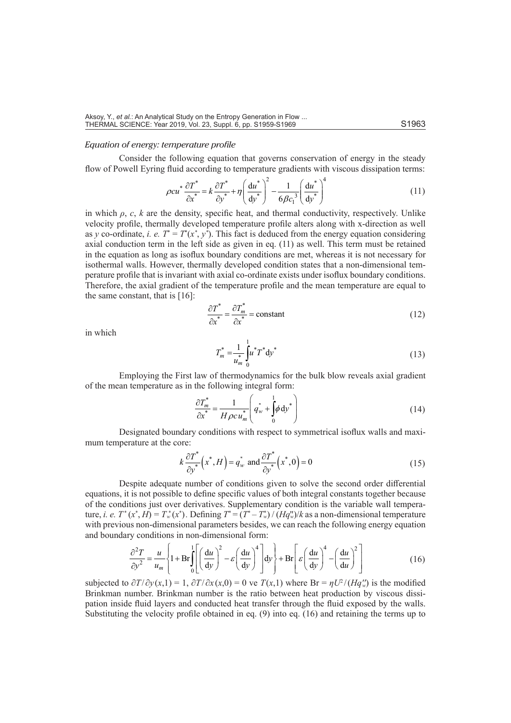## *Equation of energy: temperature profile*

Consider the following equation that governs conservation of energy in the steady flow of Powell Eyring fluid according to temperature gradients with viscous dissipation terms:

$$
\rho c u^* \frac{\partial T^*}{\partial x^*} = k \frac{\partial T^*}{\partial y^*} + \eta \left(\frac{du^*}{dy^*}\right)^2 - \frac{1}{6\beta c_1^3} \left(\frac{du^*}{dy^*}\right)^4 \tag{11}
$$

in which  $\rho$ ,  $c$ ,  $k$  are the density, specific heat, and thermal conductivity, respectively. Unlike velocity profile, thermally developed temperature profile alters along with x-direction as well as *y* co-ordinate, *i. e.*  $T^* = T^*(x^*, y^*)$ . This fact is deduced from the energy equation considering axial conduction term in the left side as given in eq. (11) as well. This term must be retained in the equation as long as isoflux boundary conditions are met, whereas it is not necessary for isothermal walls. However, thermally developed condition states that a non-dimensional temperature profile that is invariant with axial co-ordinate exists under isoflux boundary conditions. Therefore, the axial gradient of the temperature profile and the mean temperature are equal to the same constant, that is [16]:

$$
\frac{\partial T^*}{\partial x^*} = \frac{\partial T_m^*}{\partial x^*} = \text{constant}
$$
\n(12)

in which

$$
T_m^* = \frac{1}{u_m^*} \int_0^1 u^* T^* \, \mathrm{d}y^* \tag{13}
$$

Employing the First law of thermodynamics for the bulk blow reveals axial gradient of the mean temperature as in the following integral form:

$$
\frac{\partial T_m^*}{\partial x^*} = \frac{1}{H \rho c u_m^*} \left( q_w^* + \int_0^1 \phi \, \mathrm{d} y^* \right) \tag{14}
$$

Designated boundary conditions with respect to symmetrical isoflux walls and maximum temperature at the core:

$$
k\frac{\partial T^*}{\partial y^*}\left(x^*,H\right) = q_w^* \text{ and } \frac{\partial T^*}{\partial y^*}\left(x^*,0\right) = 0 \tag{15}
$$

Despite adequate number of conditions given to solve the second order differential equations, it is not possible to define specific values of both integral constants together because of the conditions just over derivatives. Supplementary condition is the variable wall temperature, *i. e.*  $T^*(x^*, H) = T^*(x^*)$ . Defining  $T^* = (T^* - T^*)/(Hq^*_{w})/k$  as a non-dimensional temperature with previous non-dimensional parameters besides, we can reach the following energy equation and boundary conditions in non-dimensional form:

$$
\frac{\partial^2 T}{\partial y^2} = \frac{u}{u_m} \left\{ 1 + \text{Br} \int_0^1 \left[ \left( \frac{\text{d}u}{\text{d}y} \right)^2 - \varepsilon \left( \frac{\text{d}u}{\text{d}y} \right)^4 \right] \text{d}y \right\} + \text{Br} \left[ \varepsilon \left( \frac{\text{d}u}{\text{d}y} \right)^4 - \left( \frac{\text{d}u}{\text{d}u} \right)^2 \right] \tag{16}
$$

subjected to  $\partial T/\partial y(x,1) = 1$ ,  $\partial T/\partial x(x,0) = 0$  ve  $T(x,1)$  where Br =  $\eta U^2/(Hq_w^{(r)})$  is the modified Brinkman number. Brinkman number is the ratio between heat production by viscous dissipation inside fluid layers and conducted heat transfer through the fluid exposed by the walls. Substituting the velocity profile obtained in eq. (9) into eq. (16) and retaining the terms up to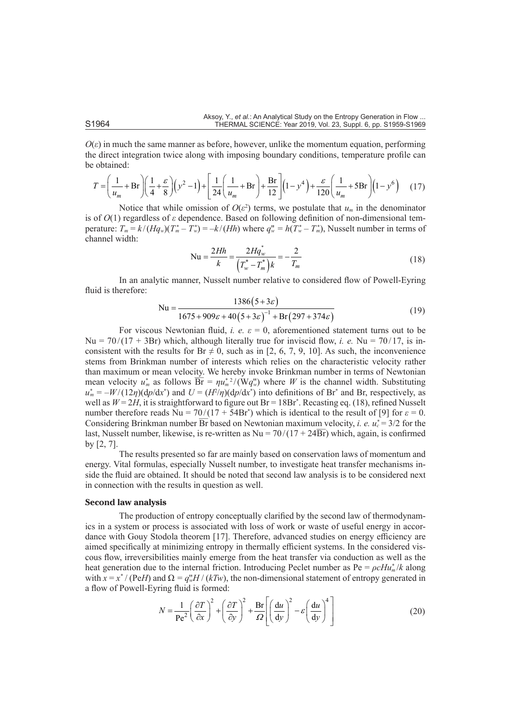$O(\varepsilon)$  in much the same manner as before, however, unlike the momentum equation, performing the direct integration twice along with imposing boundary conditions, temperature profile can be obtained:

$$
T = \left(\frac{1}{u_m} + \text{Br}\right) \left(\frac{1}{4} + \frac{\varepsilon}{8}\right) \left(y^2 - 1\right) + \left[\frac{1}{24} \left(\frac{1}{u_m} + \text{Br}\right) + \frac{\text{Br}}{12}\right] \left(1 - y^4\right) + \frac{\varepsilon}{120} \left(\frac{1}{u_m} + 5\text{Br}\right) \left(1 - y^6\right) \tag{17}
$$

Notice that while omission of  $O(\varepsilon^2)$  terms, we postulate that  $u_m$  in the denominator is of *O*(1) regardless of *ε* dependence. Based on following definition of non-dimensional temperature:  $T_m = k/(Hq_w)(T_m^* - T_w^*) = -k/(Hh)$  where  $q_w^* = h(T_w^* - T_m^*)$ , Nusselt number in terms of channel width:

$$
Nu = \frac{2Hh}{k} = \frac{2Hq_w^*}{\left(T_w^* - T_m^*\right)k} = -\frac{2}{T_m}
$$
\n(18)

In an analytic manner, Nusselt number relative to considered flow of Powell-Eyring fluid is therefore:

$$
Nu = \frac{1386(5+3\varepsilon)}{1675+909\varepsilon+40(5+3\varepsilon)^{-1} + Br(297+374\varepsilon)}
$$
(19)

For viscous Newtonian fluid, *i. e.*  $\varepsilon = 0$ , aforementioned statement turns out to be Nu =  $70/(17 + 3Br)$  which, although literally true for inviscid flow, *i. e.* Nu =  $70/17$ , is inconsistent with the results for  $Br \neq 0$ , such as in [2, 6, 7, 9, 10]. As such, the inconvenience stems from Brinkman number of interests which relies on the characteristic velocity rather than maximum or mean velocity. We hereby invoke Brinkman number in terms of Newtonian mean velocity  $u^*$  as follows  $\overline{Br} = \eta u^{*2}_n / (Wq^u_w)$  where *W* is the channel width. Substituting  $u_m^* = -W/(12\eta)(dp/dx^*)$  and  $U = (H^2/\eta)(dp/dx^*)$  into definitions of Br<sup>\*</sup> and Br, respectively, as well as  $W = 2H$ , it is straightforward to figure out  $Br = 18Br^*$ . Recasting eq. (18), refined Nusselt number therefore reads  $Nu = 70/(17 + 54Br^*)$  which is identical to the result of [9] for  $\varepsilon = 0$ . Considering Brinkman number  $\overline{Br}$  based on Newtonian maximum velocity, *i. e.*  $u_c^* = 3/2$  for the last, Nusselt number, likewise, is re-written as Nu =  $70/(17 + 24\overline{Br})$  which, again, is confirmed by [2, 7].

The results presented so far are mainly based on conservation laws of momentum and energy. Vital formulas, especially Nusselt number, to investigate heat transfer mechanisms inside the fluid are obtained. It should be noted that second law analysis is to be considered next in connection with the results in question as well.

## **Second law analysis**

The production of entropy conceptually clarified by the second law of thermodynamics in a system or process is associated with loss of work or waste of useful energy in accordance with Gouy Stodola theorem [17]. Therefore, advanced studies on energy efficiency are aimed specifically at minimizing entropy in thermally efficient systems. In the considered viscous flow, irreversibilities mainly emerge from the heat transfer via conduction as well as the heat generation due to the internal friction. Introducing Peclet number as Pe = *ρcHu\* <sup>m</sup>* /*k* along with  $x = x^*$  / (Pe*H*) and  $\Omega = q_w^* H / (kTw)$ , the non-dimensional statement of entropy generated in a flow of Powell-Eyring fluid is formed:

$$
N = \frac{1}{\text{Pe}^2} \left(\frac{\partial T}{\partial x}\right)^2 + \left(\frac{\partial T}{\partial y}\right)^2 + \frac{\text{Br}}{\Omega} \left[\left(\frac{\text{d}u}{\text{d}y}\right)^2 - \varepsilon \left(\frac{\text{d}u}{\text{d}y}\right)^4\right]
$$
(20)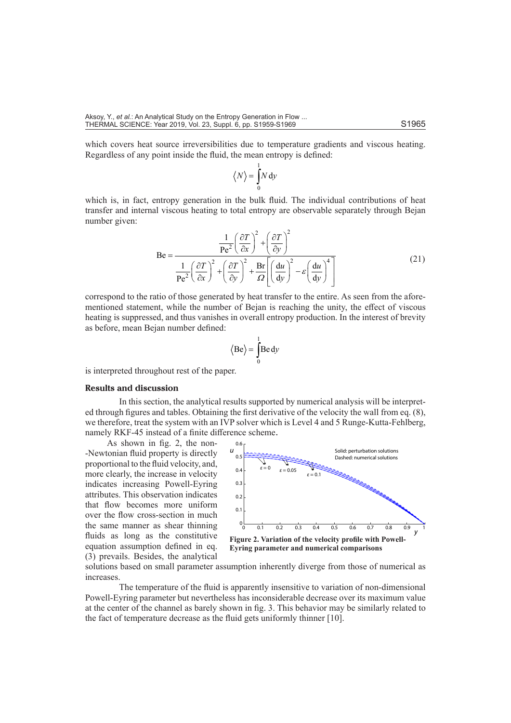which covers heat source irreversibilities due to temperature gradients and viscous heating. Regardless of any point inside the fluid, the mean entropy is defined:

$$
\left\langle N\right\rangle = \int_{0}^{1} N \, \mathrm{d}y
$$

which is, in fact, entropy generation in the bulk fluid. The individual contributions of heat transfer and internal viscous heating to total entropy are observable separately through Bejan number given:

$$
\text{Be} = \frac{\frac{1}{\text{Pe}^2} \left(\frac{\partial T}{\partial x}\right)^2 + \left(\frac{\partial T}{\partial y}\right)^2}{\frac{1}{\text{Pe}^2} \left(\frac{\partial T}{\partial x}\right)^2 + \left(\frac{\partial T}{\partial y}\right)^2 + \frac{\text{Br}}{\Omega} \left[\left(\frac{du}{dy}\right)^2 - \varepsilon \left(\frac{du}{dy}\right)^4\right]}
$$
(21)

correspond to the ratio of those generated by heat transfer to the entire. As seen from the aforementioned statement, while the number of Bejan is reaching the unity, the effect of viscous heating is suppressed, and thus vanishes in overall entropy production. In the interest of brevity as before, mean Bejan number defined:

$$
\langle Be \rangle = \int_{0}^{1} Be \, dy
$$

is interpreted throughout rest of the paper.

#### **Results and discussion**

In this section, the analytical results supported by numerical analysis will be interpreted through figures and tables. Obtaining the first derivative of the velocity the wall from eq. (8), we therefore, treat the system with an IVP solver which is Level 4 and 5 Runge-Kutta-Fehlberg, namely RKF-45 instead of a finite difference scheme.

As shown in fig. 2, the non- -Newtonian fluid property is directly proportional to the fluid velocity, and, more clearly, the increase in velocity indicates increasing Powell-Eyring attributes. This observation indicates that flow becomes more uniform over the flow cross-section in much the same manner as shear thinning fluids as long as the constitutive equation assumption defined in eq. (3) prevails. Besides, the analytical



solutions based on small parameter assumption inherently diverge from those of numerical as increases.

The temperature of the fluid is apparently insensitive to variation of non-dimensional Powell-Eyring parameter but nevertheless has inconsiderable decrease over its maximum value at the center of the channel as barely shown in fig. 3. This behavior may be similarly related to the fact of temperature decrease as the fluid gets uniformly thinner [10].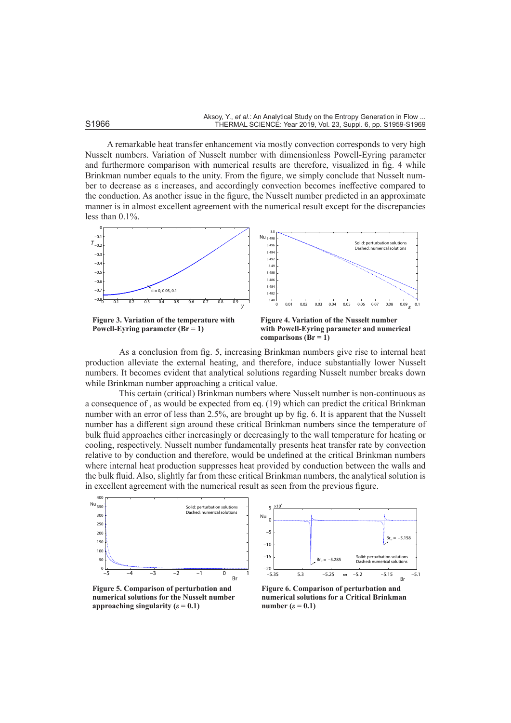A remarkable heat transfer enhancement via mostly convection corresponds to very high Nusselt numbers. Variation of Nusselt number with dimensionless Powell-Eyring parameter and furthermore comparison with numerical results are therefore, visualized in fig. 4 while Brinkman number equals to the unity. From the figure, we simply conclude that Nusselt number to decrease as ε increases, and accordingly convection becomes ineffective compared to the conduction. As another issue in the figure, the Nusselt number predicted in an approximate manner is in almost excellent agreement with the numerical result except for the discrepancies less than 0.1%.



**Powell-Eyring parameter (Br = 1)**



As a conclusion from fig. 5, increasing Brinkman numbers give rise to internal heat production alleviate the external heating, and therefore, induce substantially lower Nusselt numbers. It becomes evident that analytical solutions regarding Nusselt number breaks down while Brinkman number approaching a critical value.

This certain (critical) Brinkman numbers where Nusselt number is non-continuous as a consequence of , as would be expected from eq. (19) which can predict the critical Brinkman number with an error of less than 2.5%, are brought up by fig. 6. It is apparent that the Nusselt number has a different sign around these critical Brinkman numbers since the temperature of bulk fluid approaches either increasingly or decreasingly to the wall temperature for heating or cooling, respectively. Nusselt number fundamentally presents heat transfer rate by convection relative to by conduction and therefore, would be undefined at the critical Brinkman numbers where internal heat production suppresses heat provided by conduction between the walls and the bulk fluid. Also, slightly far from these critical Brinkman numbers, the analytical solution is in excellent agreement with the numerical result as seen from the previous figure.



**Figure 5. Comparison of perturbation and numerical solutions for the Nusselt number approaching singularity (** $\varepsilon$  **= 0.1)** 



**Figure 6. Comparison of perturbation and numerical solutions for a Critical Brinkman number**  $(\varepsilon = 0.1)$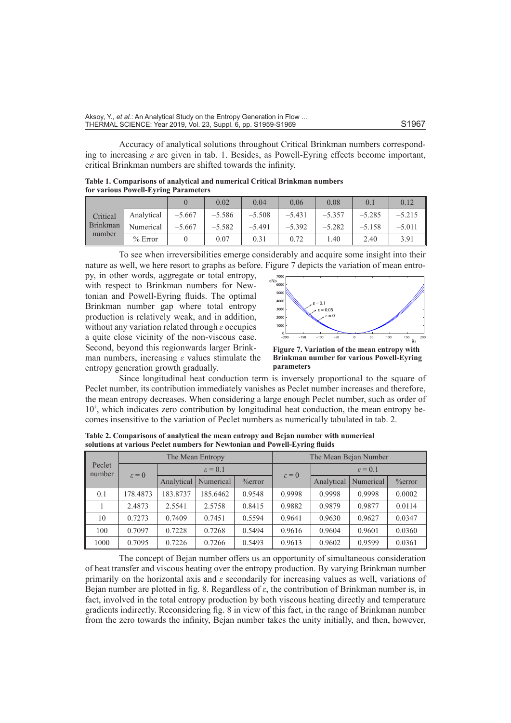Accuracy of analytical solutions throughout Critical Brinkman numbers corresponding to increasing *ε* are given in tab. 1. Besides, as Powell-Eyring effects become important, critical Brinkman numbers are shifted towards the infinity.

**Table 1. Comparisons of analytical and numerical Critical Brinkman numbers for various Powell-Eyring Parameters**

|                                       |            |          | 0.02     | 0.04     | 0.06     | 0.08     | $\Omega$ . | 0.12     |
|---------------------------------------|------------|----------|----------|----------|----------|----------|------------|----------|
| Critical<br><b>Brinkman</b><br>number | Analytical | $-5.667$ | $-5.586$ | $-5.508$ | $-5.431$ | $-5.357$ | $-5.285$   | $-5.215$ |
|                                       | Numerical  | $-5.667$ | $-5.582$ | $-5.491$ | $-5.392$ | $-5.282$ | $-5.158$   | $-5.011$ |
|                                       | $%$ Error  |          | 0.07     | 0.31     | 0.72     | 1.40     | 2.40       | 3.91     |

To see when irreversibilities emerge considerably and acquire some insight into their nature as well, we here resort to graphs as before. Figure 7 depicts the variation of mean entro-

py, in other words, aggregate or total entropy, with respect to Brinkman numbers for Newtonian and Powell-Eyring fluids. The optimal Brinkman number gap where total entropy production is relatively weak, and in addition, without any variation related through *ε* occupies a quite close vicinity of the non-viscous case. Second, beyond this regionwards larger Brinkman numbers, increasing *ε* values stimulate the entropy generation growth gradually.



**Figure 7. Variation of the mean entropy with Brinkman number for various Powell-Eyring parameters**

Since longitudinal heat conduction term is inversely proportional to the square of Peclet number, its contribution immediately vanishes as Peclet number increases and therefore, the mean entropy decreases. When considering a large enough Peclet number, such as order of 102 , which indicates zero contribution by longitudinal heat conduction, the mean entropy becomes insensitive to the variation of Peclet numbers as numerically tabulated in tab. 2.

| Peclet<br>number |                   |                     | The Mean Entropy |           | The Mean Bejan Number |                     |           |           |  |  |
|------------------|-------------------|---------------------|------------------|-----------|-----------------------|---------------------|-----------|-----------|--|--|
|                  | $\varepsilon = 0$ | $\varepsilon = 0.1$ |                  |           | $\varepsilon = 0$     | $\varepsilon = 0.1$ |           |           |  |  |
|                  |                   | Analytical          | Numerical        | $%$ error |                       | Analytical          | Numerical | $%$ error |  |  |
| 0.1              | 178.4873          | 183.8737            | 185.6462         | 0.9548    | 0.9998                | 0.9998              | 0.9998    | 0.0002    |  |  |
|                  | 2.4873            | 2.5541              | 2.5758           | 0.8415    | 0.9882                | 0.9879              | 0.9877    | 0.0114    |  |  |
| 10               | 0.7273            | 0.7409              | 0.7451           | 0.5594    | 0.9641                | 0.9630              | 0.9627    | 0.0347    |  |  |
| 100              | 0.7097            | 0.7228              | 0.7268           | 0.5494    | 0.9616                | 0.9604              | 0.9601    | 0.0360    |  |  |
| 1000             | 0.7095            | 0.7226              | 0.7266           | 0.5493    | 0.9613                | 0.9602              | 0.9599    | 0.0361    |  |  |

**Table 2. Comparisons of analytical the mean entropy and Bejan number with numerical solutions at various Peclet numbers for Newtonian and Powell-Eyring fluids**

The concept of Bejan number offers us an opportunity of simultaneous consideration of heat transfer and viscous heating over the entropy production. By varying Brinkman number primarily on the horizontal axis and *ε* secondarily for increasing values as well, variations of Bejan number are plotted in fig. 8. Regardless of *ε*, the contribution of Brinkman number is, in fact, involved in the total entropy production by both viscous heating directly and temperature gradients indirectly. Reconsidering fig. 8 in view of this fact, in the range of Brinkman number from the zero towards the infinity, Bejan number takes the unity initially, and then, however,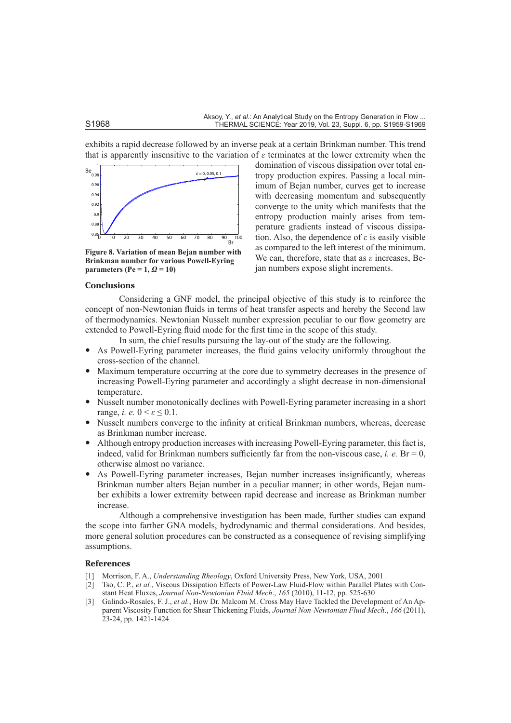domination of viscous dissipation over total entropy production expires. Passing a local minimum of Bejan number, curves get to increase with decreasing momentum and subsequently converge to the unity which manifests that the entropy production mainly arises from temperature gradients instead of viscous dissipation. Also, the dependence of *ε* is easily visible as compared to the left interest of the minimum. We can, therefore, state that as *ε* increases, Be-

jan numbers expose slight increments.

exhibits a rapid decrease followed by an inverse peak at a certain Brinkman number. This trend that is apparently insensitive to the variation of *ε* terminates at the lower extremity when the



**Figure 8. Variation of mean Bejan number with Brinkman number for various Powell-Eyring parameters (Pe = 1,** *Ω* **= 10)**

## **Conclusions**

Considering a GNF model, the principal objective of this study is to reinforce the concept of non-Newtonian fluids in terms of heat transfer aspects and hereby the Second law of thermodynamics. Newtonian Nusselt number expression peculiar to our flow geometry are extended to Powell-Eyring fluid mode for the first time in the scope of this study.

In sum, the chief results pursuing the lay-out of the study are the following.

- As Powell-Eyring parameter increases, the fluid gains velocity uniformly throughout the cross-section of the channel.
- Maximum temperature occurring at the core due to symmetry decreases in the presence of increasing Powell-Eyring parameter and accordingly a slight decrease in non-dimensional temperature.
- Nusselt number monotonically declines with Powell-Eyring parameter increasing in a short range, *i. e.*  $0 \le \epsilon \le 0.1$ .
- Nusselt numbers converge to the infinity at critical Brinkman numbers, whereas, decrease as Brinkman number increase.
- Although entropy production increases with increasing Powell-Eyring parameter, this fact is, indeed, valid for Brinkman numbers sufficiently far from the non-viscous case, *i. e.* Br = 0, otherwise almost no variance.
- As Powell-Eyring parameter increases, Bejan number increases insignificantly, whereas Brinkman number alters Bejan number in a peculiar manner; in other words, Bejan number exhibits a lower extremity between rapid decrease and increase as Brinkman number increase.

Although a comprehensive investigation has been made, further studies can expand the scope into farther GNA models, hydrodynamic and thermal considerations. And besides, more general solution procedures can be constructed as a consequence of revising simplifying assumptions.

### **References**

- [1] Morrison, F. A., *Understanding Rheology*, Oxford University Press, New York, USA, 2001
- [2] Tso, C. P., *et al.*, Viscous Dissipation Effects of Power-Law Fluid-Flow within Parallel Plates with Constant Heat Fluxes, *Journal Non-Newtonian Fluid Mech*., *165* (2010), 11-12, pp. 525-630
- [3] Galindo-Rosales, F. J., *et al.*, How Dr. Malcom M. Cross May Have Tackled the Development of An Apparent Viscosity Function for Shear Thickening Fluids, *Journal Non-Newtonian Fluid Mech*., *166* (2011), 23-24, pp. 1421-1424